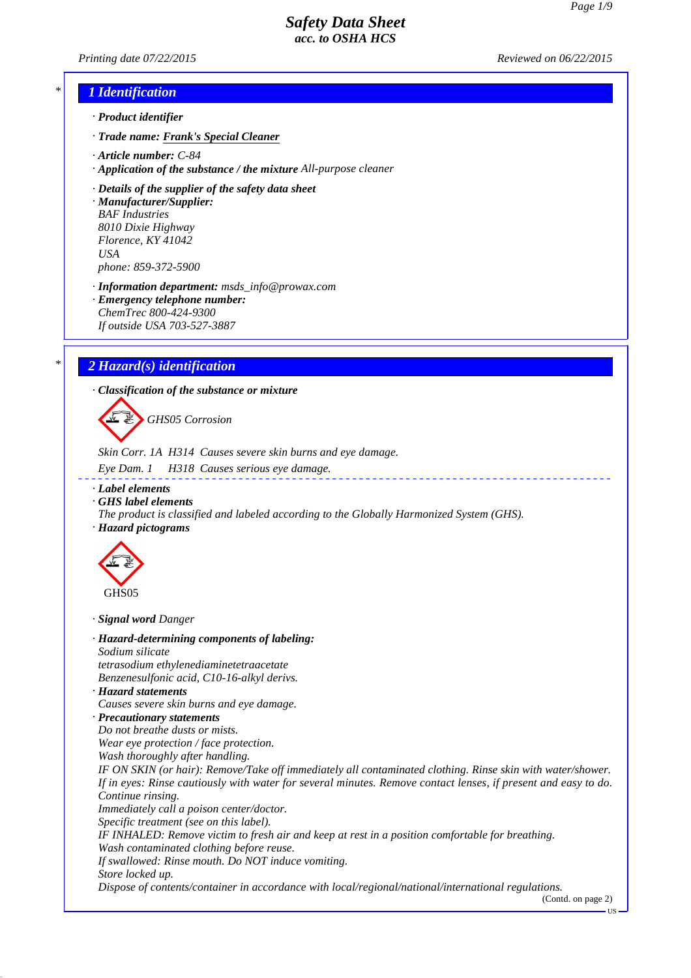*Printing date 07/22/2015 Reviewed on 06/22/2015*

## *\* 1 Identification*

- *· Product identifier*
- *· Trade name: Frank's Special Cleaner*
- *· Article number: C-84*
- *· Application of the substance / the mixture All-purpose cleaner*

*· Details of the supplier of the safety data sheet · Manufacturer/Supplier:*

*BAF Industries 8010 Dixie Highway Florence, KY 41042 USA phone: 859-372-5900*

*· Information department: msds\_info@prowax.com*

- *· Emergency telephone number: ChemTrec 800-424-9300*
- *If outside USA 703-527-3887*

## *\* 2 Hazard(s) identification*

*· Classification of the substance or mixture*

*GHS05 Corrosion*

*Skin Corr. 1A H314 Causes severe skin burns and eye damage.*

- *Eye Dam. 1 H318 Causes serious eye damage.*
- *· Label elements*
- *· GHS label elements*
- *The product is classified and labeled according to the Globally Harmonized System (GHS). · Hazard pictograms*

\_\_\_\_\_\_\_\_\_\_\_\_\_\_\_



*· Signal word Danger*

*· Hazard-determining components of labeling: Sodium silicate tetrasodium ethylenediaminetetraacetate Benzenesulfonic acid, C10-16-alkyl derivs. · Hazard statements Causes severe skin burns and eye damage. · Precautionary statements Do not breathe dusts or mists. Wear eye protection / face protection. Wash thoroughly after handling. IF ON SKIN (or hair): Remove/Take off immediately all contaminated clothing. Rinse skin with water/shower. If in eyes: Rinse cautiously with water for several minutes. Remove contact lenses, if present and easy to do. Continue rinsing. Immediately call a poison center/doctor. Specific treatment (see on this label). IF INHALED: Remove victim to fresh air and keep at rest in a position comfortable for breathing. Wash contaminated clothing before reuse. If swallowed: Rinse mouth. Do NOT induce vomiting. Store locked up. Dispose of contents/container in accordance with local/regional/national/international regulations.*

(Contd. on page 2)

**TIS**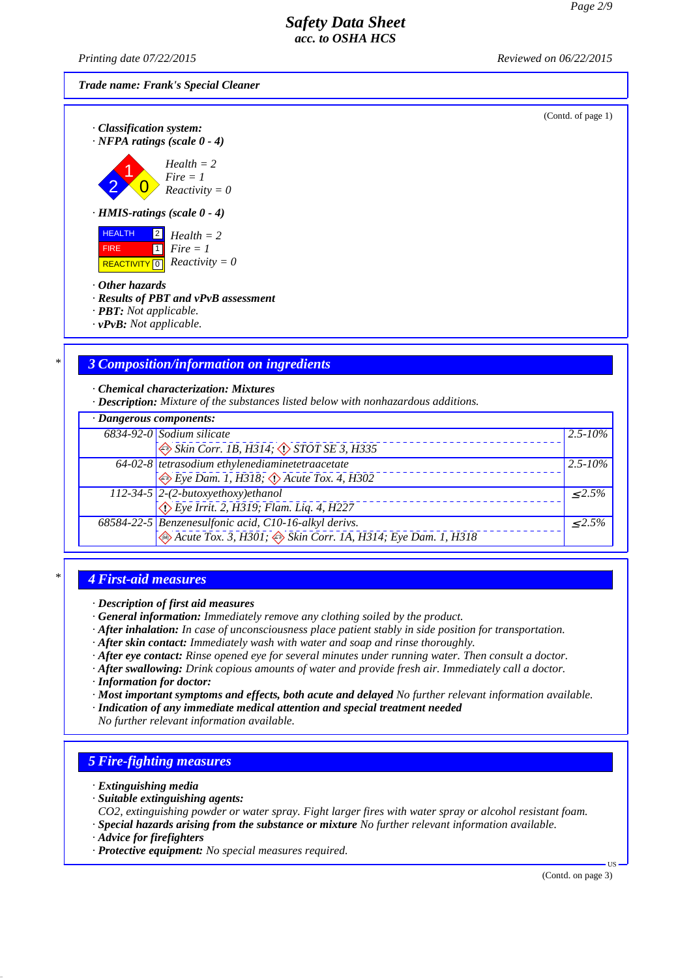*Printing date 07/22/2015 Reviewed on 06/22/2015*

*Trade name: Frank's Special Cleaner*

(Contd. of page 1)

| · Classification system:<br>$\cdot$ NFPA ratings (scale 0 - 4) |  |
|----------------------------------------------------------------|--|
| $Health = 2$<br>Fire = 1<br>Reactivity = 0                     |  |
| $\cdot$ HMIS-ratings (scale 0 - 4)                             |  |

 HEALTH FIRE  $\overline{REACTIVITY \, \vert \, \vert \, \vert}$  *Reactivity = 0* 2 *Health = 2*  $\overline{1}$ *Fire = 1*

#### *· Other hazards*

- *· Results of PBT and vPvB assessment*
- *· PBT: Not applicable.*
- *· vPvB: Not applicable.*

## *\* 3 Composition/information on ingredients*

*· Chemical characterization: Mixtures*

*· Description: Mixture of the substances listed below with nonhazardous additions.*

| · Dangerous components: |                                                                                                                    |              |
|-------------------------|--------------------------------------------------------------------------------------------------------------------|--------------|
|                         | 6834-92-0 Sodium silicate                                                                                          | $2.5 - 10\%$ |
|                         | $\leftrightarrow$ Skin Corr. 1B, H314; $\leftrightarrow$ STOT SE 3, H335                                           |              |
|                         | 64-02-8 tetrasodium ethylenediaminetetraacetate                                                                    | $2.5 - 10\%$ |
|                         | $\leftrightarrow$ Eye Dam. 1, H318; $\leftrightarrow$ Acute Tox. 4, H302                                           |              |
|                         |                                                                                                                    | $< 2.5\%$    |
|                         | 112-34-5 2-(2-butoxyethoxy)ethanol<br>$\sqrt{\frac{2}{2}}$ Eye Irrit. 2, H319; Flam. Liq. 4, H227                  |              |
|                         |                                                                                                                    | $\leq 2.5\%$ |
|                         | 68584-22-5 Benzenesulfonic acid, C10-16-alkyl derivs.<br>Acute Tox. 3, H301; Skin Corr. IA, H314; Eye Dam. 1, H318 |              |

## *\* 4 First-aid measures*

*· Description of first aid measures*

- *· General information: Immediately remove any clothing soiled by the product.*
- *· After inhalation: In case of unconsciousness place patient stably in side position for transportation.*
- *· After skin contact: Immediately wash with water and soap and rinse thoroughly.*
- *· After eye contact: Rinse opened eye for several minutes under running water. Then consult a doctor.*
- *· After swallowing: Drink copious amounts of water and provide fresh air. Immediately call a doctor. · Information for doctor:*
- *· Most important symptoms and effects, both acute and delayed No further relevant information available.*
- *· Indication of any immediate medical attention and special treatment needed No further relevant information available.*

## *5 Fire-fighting measures*

- *· Extinguishing media*
- *· Suitable extinguishing agents:*
- *CO2, extinguishing powder or water spray. Fight larger fires with water spray or alcohol resistant foam.*
- *· Special hazards arising from the substance or mixture No further relevant information available.*
- *· Advice for firefighters*
- *· Protective equipment: No special measures required.*

(Contd. on page 3)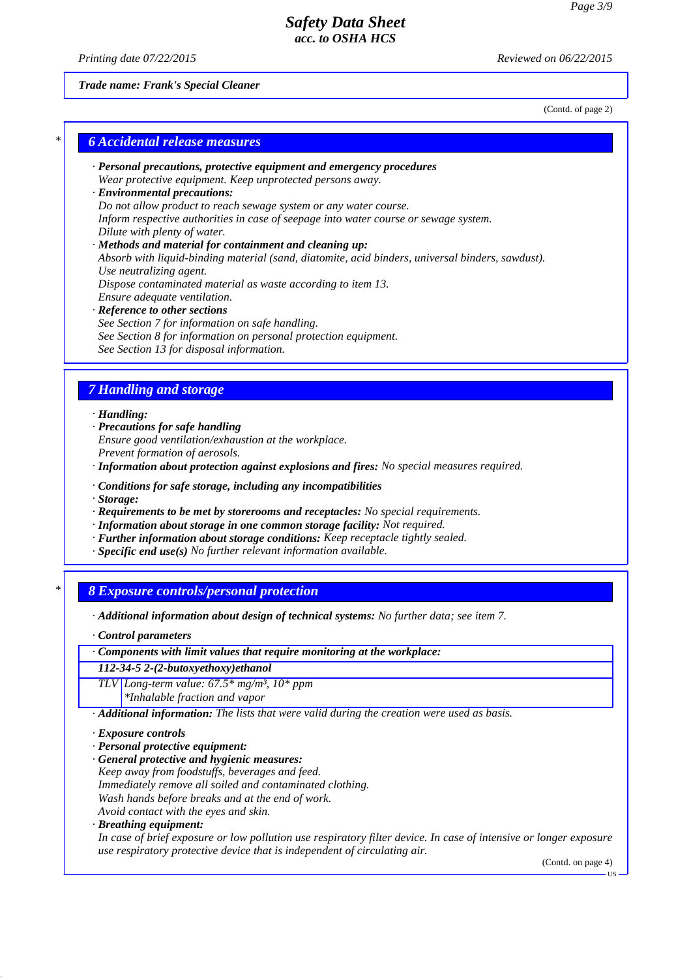*Printing date 07/22/2015 Reviewed on 06/22/2015*

*Trade name: Frank's Special Cleaner*

(Contd. of page 2)

## *\* 6 Accidental release measures*

- *· Personal precautions, protective equipment and emergency procedures Wear protective equipment. Keep unprotected persons away.*
- *· Environmental precautions: Do not allow product to reach sewage system or any water course. Inform respective authorities in case of seepage into water course or sewage system. Dilute with plenty of water.*
- *· Methods and material for containment and cleaning up: Absorb with liquid-binding material (sand, diatomite, acid binders, universal binders, sawdust). Use neutralizing agent. Dispose contaminated material as waste according to item 13. Ensure adequate ventilation. · Reference to other sections*
- *See Section 7 for information on safe handling. See Section 8 for information on personal protection equipment. See Section 13 for disposal information.*

## *7 Handling and storage*

*· Handling:*

- *· Precautions for safe handling Ensure good ventilation/exhaustion at the workplace. Prevent formation of aerosols.*
- *· Information about protection against explosions and fires: No special measures required.*
- *· Conditions for safe storage, including any incompatibilities*
- *· Storage:*
- *· Requirements to be met by storerooms and receptacles: No special requirements.*
- *· Information about storage in one common storage facility: Not required.*
- *· Further information about storage conditions: Keep receptacle tightly sealed.*
- *· Specific end use(s) No further relevant information available.*

# *\* 8 Exposure controls/personal protection*

- *· Additional information about design of technical systems: No further data; see item 7.*
- *· Control parameters*
- *· Components with limit values that require monitoring at the workplace:*
- *112-34-5 2-(2-butoxyethoxy)ethanol*
- *TLV Long-term value: 67.5\* mg/m³, 10\* ppm*
	- *\*Inhalable fraction and vapor*
- *· Additional information: The lists that were valid during the creation were used as basis.*
- *· Exposure controls*
- *· Personal protective equipment:*
- *· General protective and hygienic measures:*
- *Keep away from foodstuffs, beverages and feed. Immediately remove all soiled and contaminated clothing. Wash hands before breaks and at the end of work.*
- *Avoid contact with the eyes and skin.*
- *· Breathing equipment:*

*In case of brief exposure or low pollution use respiratory filter device. In case of intensive or longer exposure use respiratory protective device that is independent of circulating air.*

(Contd. on page 4)

US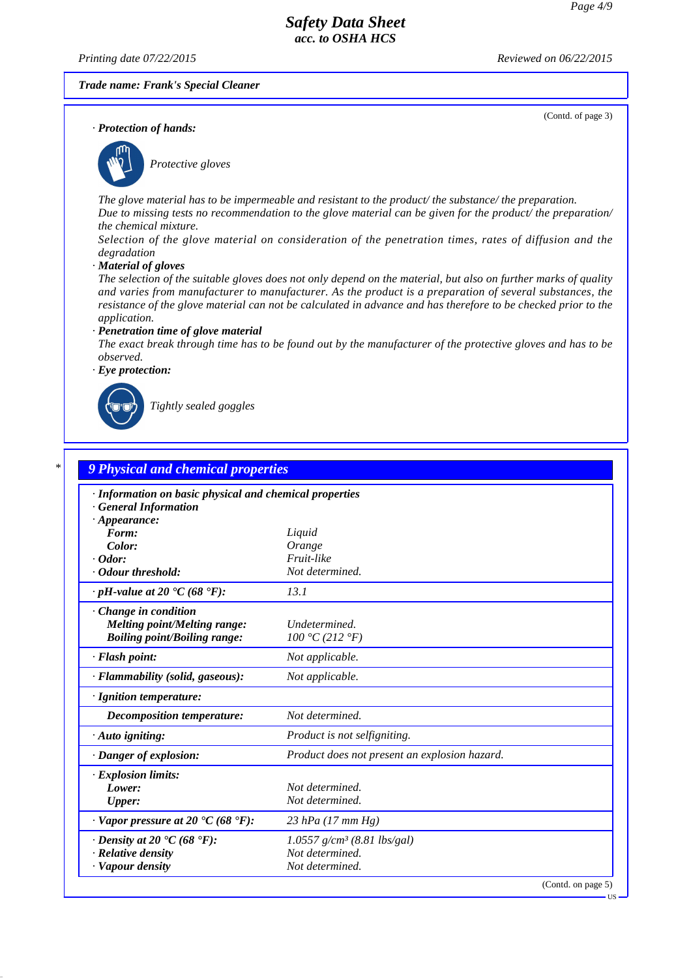*Printing date 07/22/2015 Reviewed on 06/22/2015*

(Contd. of page 3)

*Trade name: Frank's Special Cleaner*

*· Protection of hands:*



*Protective gloves*

*The glove material has to be impermeable and resistant to the product/ the substance/ the preparation. Due to missing tests no recommendation to the glove material can be given for the product/ the preparation/ the chemical mixture.*

*Selection of the glove material on consideration of the penetration times, rates of diffusion and the degradation*

*· Material of gloves*

*The selection of the suitable gloves does not only depend on the material, but also on further marks of quality and varies from manufacturer to manufacturer. As the product is a preparation of several substances, the resistance of the glove material can not be calculated in advance and has therefore to be checked prior to the application.*

#### *· Penetration time of glove material*

*The exact break through time has to be found out by the manufacturer of the protective gloves and has to be observed.*

*· Eye protection:*



*Tightly sealed goggles*

| · Information on basic physical and chemical properties            |                                               |  |
|--------------------------------------------------------------------|-----------------------------------------------|--|
| <b>General Information</b>                                         |                                               |  |
| $\cdot$ Appearance:<br>Form:                                       | Liquid                                        |  |
| Color:                                                             | Orange                                        |  |
| $\cdot$ Odor:                                                      | Fruit-like                                    |  |
| · Odour threshold:                                                 | Not determined.                               |  |
| $\cdot$ pH-value at 20 $\cdot$ C (68 $\cdot$ F):                   | 13.1                                          |  |
| $\cdot$ Change in condition                                        |                                               |  |
| <b>Melting point/Melting range:</b>                                | Undetermined.                                 |  |
| <b>Boiling point/Boiling range:</b>                                | 100 °C (212 °F)                               |  |
| $\cdot$ Flash point:                                               | Not applicable.                               |  |
| · Flammability (solid, gaseous):                                   | Not applicable.                               |  |
| · Ignition temperature:                                            |                                               |  |
| Decomposition temperature:                                         | Not determined.                               |  |
| $\cdot$ Auto igniting:                                             | Product is not selfigniting.                  |  |
| · Danger of explosion:                                             | Product does not present an explosion hazard. |  |
| · Explosion limits:                                                |                                               |  |
| Lower:                                                             | Not determined.                               |  |
| <b>Upper:</b>                                                      | Not determined.                               |  |
| $\cdot$ Vapor pressure at 20 $\textdegree$ C (68 $\textdegree$ F): | 23 hPa $(17 \, \text{mm Hg})$                 |  |
| $\cdot$ Density at 20 $\cdot$ C (68 $\cdot$ F):                    | $1.0557$ g/cm <sup>3</sup> (8.81 lbs/gal)     |  |
| $\cdot$ Relative density                                           | Not determined.                               |  |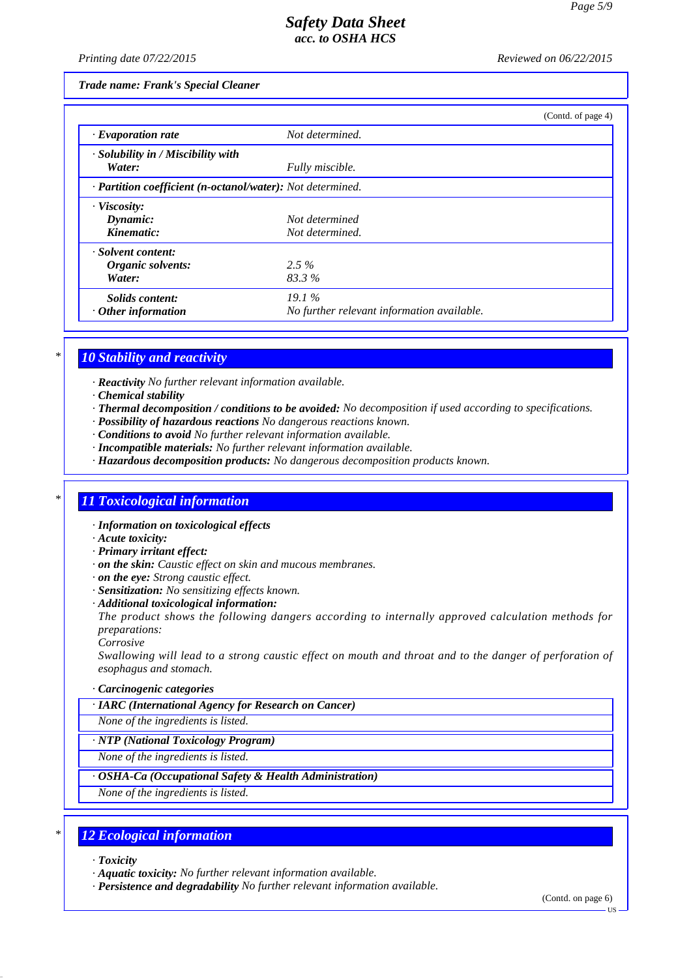*Printing date 07/22/2015 Reviewed on 06/22/2015*

*Trade name: Frank's Special Cleaner*

|                                                                         |                                            | (Contd. of page 4) |
|-------------------------------------------------------------------------|--------------------------------------------|--------------------|
| $\cdot$ Evaporation rate                                                | Not determined.                            |                    |
| $\cdot$ Solubility in / Miscibility with                                |                                            |                    |
| Water:                                                                  | Fully miscible.                            |                    |
| $\cdot$ <b>Partition coefficient (n-octanol/water):</b> Not determined. |                                            |                    |
| · Viscosity:                                                            |                                            |                    |
| Dynamic:                                                                | Not determined                             |                    |
| Kinematic:                                                              | Not determined.                            |                    |
| · Solvent content:                                                      |                                            |                    |
| Organic solvents:                                                       | $2.5\%$                                    |                    |
| Water:                                                                  | 83.3%                                      |                    |
| Solids content:                                                         | 19.1%                                      |                    |
| $\cdot$ Other information                                               | No further relevant information available. |                    |

## *\* 10 Stability and reactivity*

*· Reactivity No further relevant information available.*

- *· Chemical stability*
- *· Thermal decomposition / conditions to be avoided: No decomposition if used according to specifications.*
- *· Possibility of hazardous reactions No dangerous reactions known.*
- *· Conditions to avoid No further relevant information available.*
- *· Incompatible materials: No further relevant information available.*
- *· Hazardous decomposition products: No dangerous decomposition products known.*

#### *\* 11 Toxicological information*

- *· Information on toxicological effects*
- *· Acute toxicity:*
- *· Primary irritant effect:*
- *· on the skin: Caustic effect on skin and mucous membranes.*
- *· on the eye: Strong caustic effect.*
- *· Sensitization: No sensitizing effects known.*
- *· Additional toxicological information:*

*The product shows the following dangers according to internally approved calculation methods for preparations:*

*Corrosive*

*Swallowing will lead to a strong caustic effect on mouth and throat and to the danger of perforation of esophagus and stomach.*

*· Carcinogenic categories*

*· IARC (International Agency for Research on Cancer)*

*None of the ingredients is listed.*

#### *· NTP (National Toxicology Program)*

*None of the ingredients is listed.*

#### *· OSHA-Ca (Occupational Safety & Health Administration)*

*None of the ingredients is listed.*

## *\* 12 Ecological information*

- *· Toxicity*
- *· Aquatic toxicity: No further relevant information available.*
- *· Persistence and degradability No further relevant information available.*

(Contd. on page 6)

US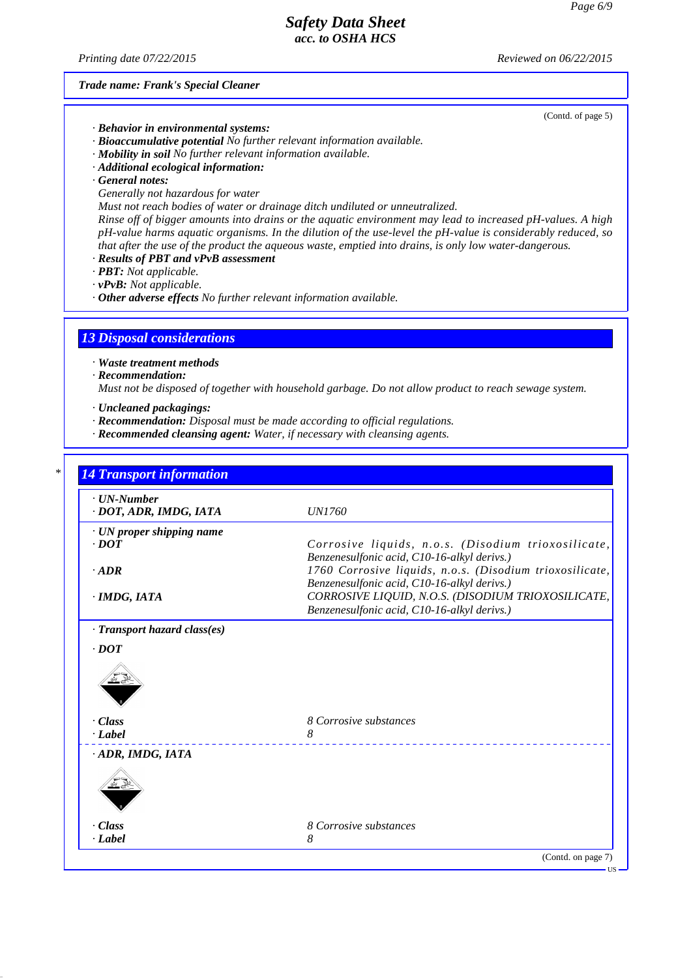*Printing date 07/22/2015 Reviewed on 06/22/2015*

*Trade name: Frank's Special Cleaner*

(Contd. of page 5)

- *· Behavior in environmental systems:*
- *· Bioaccumulative potential No further relevant information available.*
- *· Mobility in soil No further relevant information available.*
- *· Additional ecological information:*
- *· General notes:*
- *Generally not hazardous for water*
- *Must not reach bodies of water or drainage ditch undiluted or unneutralized.*

*Rinse off of bigger amounts into drains or the aquatic environment may lead to increased pH-values. A high pH-value harms aquatic organisms. In the dilution of the use-level the pH-value is considerably reduced, so that after the use of the product the aqueous waste, emptied into drains, is only low water-dangerous.*

- *· Results of PBT and vPvB assessment*
- *· PBT: Not applicable.*
- *· vPvB: Not applicable.*

*· Other adverse effects No further relevant information available.*

## *13 Disposal considerations*

- *· Waste treatment methods*
- *· Recommendation:*

*Must not be disposed of together with household garbage. Do not allow product to reach sewage system.*

- *· Uncleaned packagings:*
- *· Recommendation: Disposal must be made according to official regulations.*
- *· Recommended cleansing agent: Water, if necessary with cleansing agents.*

| $\cdot$ UN-Number<br>· DOT, ADR, IMDG, IATA | <i>UN1760</i>                                                                                     |
|---------------------------------------------|---------------------------------------------------------------------------------------------------|
| · UN proper shipping name                   |                                                                                                   |
| $\cdot$ <i>DOT</i>                          | Corrosive liquids, n.o.s. (Disodium trioxosilicate,                                               |
|                                             | Benzenesulfonic acid, C10-16-alkyl derivs.)                                                       |
| $-ADR$                                      | 1760 Corrosive liquids, n.o.s. (Disodium trioxosilicate,                                          |
|                                             | Benzenesulfonic acid, C10-16-alkyl derivs.)                                                       |
| · IMDG, IATA                                | CORROSIVE LIQUID, N.O.S. (DISODIUM TRIOXOSILICATE,<br>Benzenesulfonic acid, C10-16-alkyl derivs.) |
| · Transport hazard class(es)<br>$\cdot$ DOT |                                                                                                   |
|                                             |                                                                                                   |
| · Class                                     | 8 Corrosive substances                                                                            |
| $\cdot$ <i>Label</i>                        | 8                                                                                                 |
| ADR, IMDG, IATA                             |                                                                                                   |
|                                             |                                                                                                   |
|                                             | 8 Corrosive substances                                                                            |
| · Class                                     |                                                                                                   |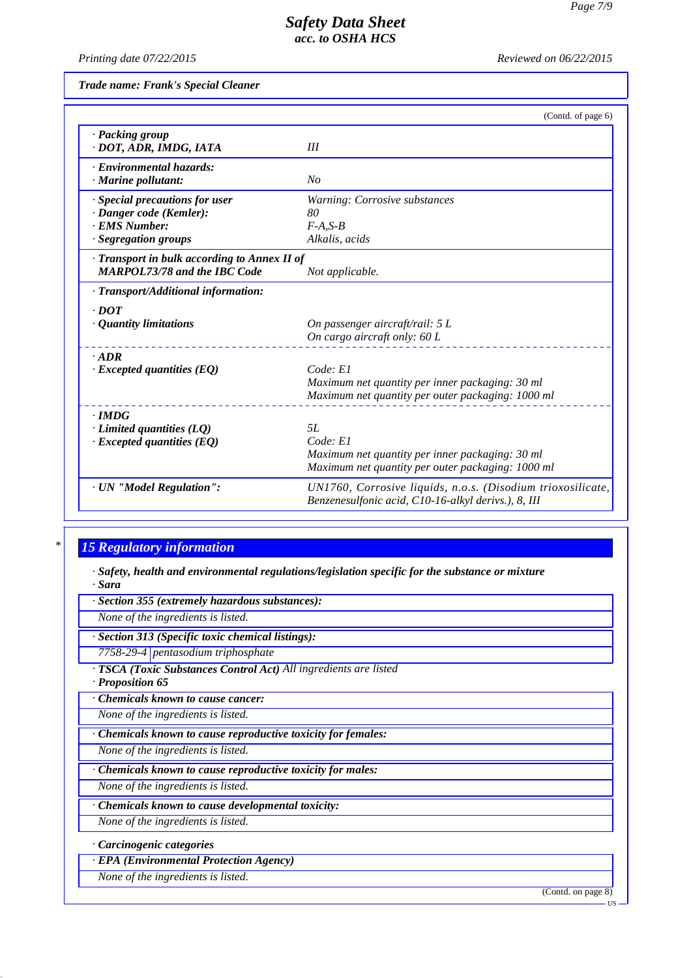*Printing date 07/22/2015 Reviewed on 06/22/2015*

*Trade name: Frank's Special Cleaner*

|                                                                                                    | (Contd. of page 6)                                                                                                     |
|----------------------------------------------------------------------------------------------------|------------------------------------------------------------------------------------------------------------------------|
| · Packing group<br>· DOT, ADR, IMDG, IATA                                                          | Ш                                                                                                                      |
| · Environmental hazards:<br>$\cdot$ Marine pollutant:                                              | No                                                                                                                     |
| · Special precautions for user<br>· Danger code (Kemler):<br>· EMS Number:<br>· Segregation groups | Warning: Corrosive substances<br>80<br>$F-A.S-B$<br>Alkalis, acids                                                     |
| · Transport in bulk according to Annex II of<br><b>MARPOL73/78 and the IBC Code</b>                | Not applicable.                                                                                                        |
| · Transport/Additional information:                                                                |                                                                                                                        |
| $\cdot$ DOT                                                                                        |                                                                                                                        |
| · Quantity limitations                                                                             | On passenger aircraft/rail: 5 L<br>On cargo aircraft only: 60 L                                                        |
| $.$ ADR                                                                                            |                                                                                                                        |
| $\cdot$ Excepted quantities (EQ)                                                                   | Code: El<br>Maximum net quantity per inner packaging: 30 ml<br>Maximum net quantity per outer packaging: 1000 ml       |
| $\cdot$ <i>IMDG</i>                                                                                |                                                                                                                        |
| $\cdot$ Limited quantities (LQ)<br>$\cdot$ Excepted quantities (EQ)                                | 5L<br>Code: El<br>Maximum net quantity per inner packaging: 30 ml<br>Maximum net quantity per outer packaging: 1000 ml |
| · UN "Model Regulation":                                                                           | UN1760, Corrosive liquids, n.o.s. (Disodium trioxosilicate,<br>Benzenesulfonic acid, C10-16-alkyl derivs.), 8, III     |

# *\* 15 Regulatory information*

*· Safety, health and environmental regulations/legislation specific for the substance or mixture · Sara*

*· Section 355 (extremely hazardous substances):*

*None of the ingredients is listed.*

*· Section 313 (Specific toxic chemical listings):*

*7758-29-4 pentasodium triphosphate*

*· TSCA (Toxic Substances Control Act) All ingredients are listed · Proposition 65*

*· Chemicals known to cause cancer:*

*None of the ingredients is listed.*

*· Chemicals known to cause reproductive toxicity for females:*

*None of the ingredients is listed.*

*· Chemicals known to cause reproductive toxicity for males:*

*None of the ingredients is listed.*

*· Chemicals known to cause developmental toxicity:*

*None of the ingredients is listed.*

*· Carcinogenic categories*

*· EPA (Environmental Protection Agency)*

*None of the ingredients is listed.*

(Contd. on page 8)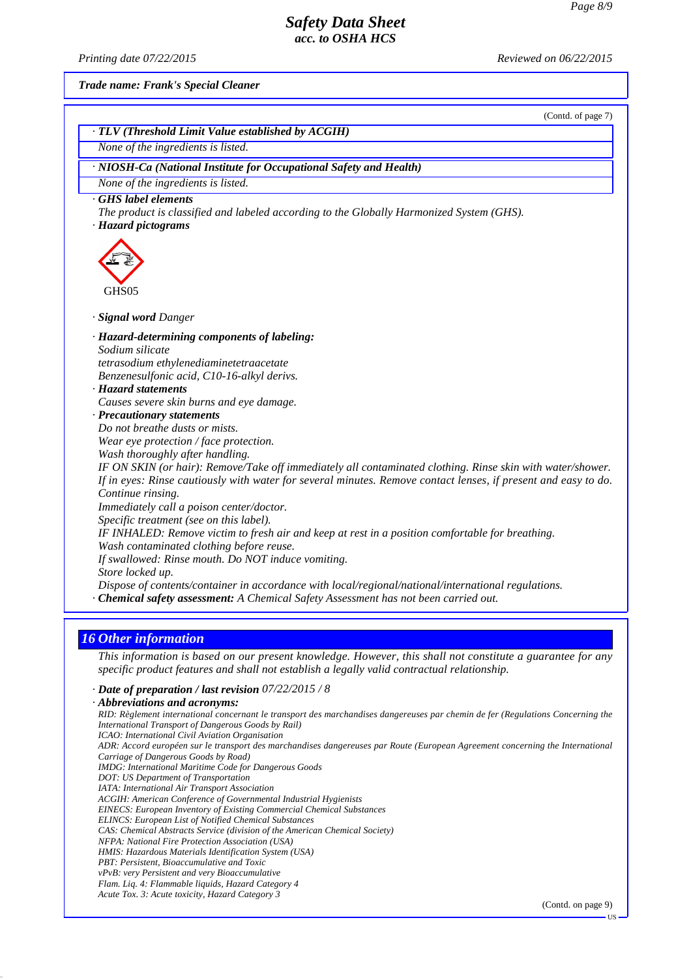*Printing date 07/22/2015 Reviewed on 06/22/2015*

*Trade name: Frank's Special Cleaner*

|                                                                                                                                                                                                                                                                                                                                                                                                                                                                                                                                                                                                                                                                                                                                                                                                                                                                                                                                                                                                                                                             | (Contd. of page 7) |
|-------------------------------------------------------------------------------------------------------------------------------------------------------------------------------------------------------------------------------------------------------------------------------------------------------------------------------------------------------------------------------------------------------------------------------------------------------------------------------------------------------------------------------------------------------------------------------------------------------------------------------------------------------------------------------------------------------------------------------------------------------------------------------------------------------------------------------------------------------------------------------------------------------------------------------------------------------------------------------------------------------------------------------------------------------------|--------------------|
| · TLV (Threshold Limit Value established by ACGIH)                                                                                                                                                                                                                                                                                                                                                                                                                                                                                                                                                                                                                                                                                                                                                                                                                                                                                                                                                                                                          |                    |
| None of the ingredients is listed.                                                                                                                                                                                                                                                                                                                                                                                                                                                                                                                                                                                                                                                                                                                                                                                                                                                                                                                                                                                                                          |                    |
| · NIOSH-Ca (National Institute for Occupational Safety and Health)                                                                                                                                                                                                                                                                                                                                                                                                                                                                                                                                                                                                                                                                                                                                                                                                                                                                                                                                                                                          |                    |
| None of the ingredients is listed.                                                                                                                                                                                                                                                                                                                                                                                                                                                                                                                                                                                                                                                                                                                                                                                                                                                                                                                                                                                                                          |                    |
| GHS label elements<br>The product is classified and labeled according to the Globally Harmonized System (GHS).<br>· Hazard pictograms                                                                                                                                                                                                                                                                                                                                                                                                                                                                                                                                                                                                                                                                                                                                                                                                                                                                                                                       |                    |
| GHS05                                                                                                                                                                                                                                                                                                                                                                                                                                                                                                                                                                                                                                                                                                                                                                                                                                                                                                                                                                                                                                                       |                    |
| · Signal word Danger                                                                                                                                                                                                                                                                                                                                                                                                                                                                                                                                                                                                                                                                                                                                                                                                                                                                                                                                                                                                                                        |                    |
| · Hazard-determining components of labeling:<br>Sodium silicate<br>tetrasodium ethylenediaminetetraacetate<br>Benzenesulfonic acid, C10-16-alkyl derivs.<br>· Hazard statements<br>Causes severe skin burns and eye damage.<br>$\cdot$ Precautionary statements<br>Do not breathe dusts or mists.<br>Wear eye protection / face protection.<br>Wash thoroughly after handling.<br>IF ON SKIN (or hair): Remove/Take off immediately all contaminated clothing. Rinse skin with water/shower.<br>If in eyes: Rinse cautiously with water for several minutes. Remove contact lenses, if present and easy to do.<br>Continue rinsing.<br>Immediately call a poison center/doctor.<br>Specific treatment (see on this label).<br>IF INHALED: Remove victim to fresh air and keep at rest in a position comfortable for breathing.<br>Wash contaminated clothing before reuse.<br>If swallowed: Rinse mouth. Do NOT induce vomiting.<br>Store locked up.<br>Dispose of contents/container in accordance with local/regional/national/international regulations. |                    |

## *16 Other information*

*This information is based on our present knowledge. However, this shall not constitute a guarantee for any specific product features and shall not establish a legally valid contractual relationship.*

#### *· Date of preparation / last revision 07/22/2015 / 8*

*· Abbreviations and acronyms: RID: Règlement international concernant le transport des marchandises dangereuses par chemin de fer (Regulations Concerning the International Transport of Dangerous Goods by Rail) ICAO: International Civil Aviation Organisation ADR: Accord européen sur le transport des marchandises dangereuses par Route (European Agreement concerning the International Carriage of Dangerous Goods by Road) IMDG: International Maritime Code for Dangerous Goods DOT: US Department of Transportation IATA: International Air Transport Association ACGIH: American Conference of Governmental Industrial Hygienists EINECS: European Inventory of Existing Commercial Chemical Substances ELINCS: European List of Notified Chemical Substances CAS: Chemical Abstracts Service (division of the American Chemical Society) NFPA: National Fire Protection Association (USA) HMIS: Hazardous Materials Identification System (USA) PBT: Persistent, Bioaccumulative and Toxic vPvB: very Persistent and very Bioaccumulative Flam. Liq. 4: Flammable liquids, Hazard Category 4 Acute Tox. 3: Acute toxicity, Hazard Category 3*

(Contd. on page 9)